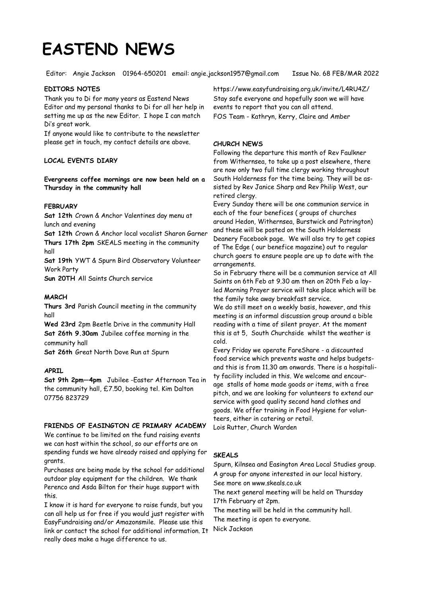# **EASTEND NEWS**

Editor: Angie Jackson 01964-650201 email: angie.jackson1957@gmail.com Issue No. 68 FEB/MAR 2022

## **EDITORS NOTES**

Thank you to Di for many years as Eastend News Editor and my personal thanks to Di for all her help in setting me up as the new Editor. I hope I can match Di's great work.

If anyone would like to contribute to the newsletter please get in touch, my contact details are above.

# **LOCAL EVENTS DIARY**

**Evergreens coffee mornings are now been held on a Thursday in the community hall**

## **FEBRUARY**

**Sat 12th** Crown & Anchor Valentines day menu at lunch and evening

**Sat 12th** Crown & Anchor local vocalist Sharon Garner **Thurs 17th 2pm** SKEALS meeting in the community hall

**Sat 19th** YWT & Spurn Bird Observatory Volunteer Work Party

**Sun 20TH** All Saints Church service

## **MARCH**

**Thurs 3rd** Parish Council meeting in the community hall

**Wed 23rd** 2pm Beetle Drive in the community Hall **Sat 26th 9.30am** Jubilee coffee morning in the community hall

**Sat 26th** Great North Dove Run at Spurn

# **APRIL**

**Sat 9th 2pm—4pm** Jubilee -Easter Afternoon Tea in the community hall, £7.50, booking tel. Kim Dalton 07756 823729

# **FRIENDS OF EASINGTON CE PRIMARY ACADEMY**

We continue to be limited on the fund raising events we can host within the school, so our efforts are on spending funds we have already raised and applying for grants.

Purchases are being made by the school for additional outdoor play equipment for the children. We thank Perenco and Asda Bilton for their huge support with this.

I know it is hard for everyone to raise funds, but you can all help us for free if you would just register with EasyFundraising and/or Amazonsmile. Please use this link or contact the school for additional information. It really does make a huge difference to us.

https://www.easyfundraising.org.uk/invite/L4RU4Z/ Stay safe everyone and hopefully soon we will have

events to report that you can all attend. FOS Team - Kathryn, Kerry, Claire and Amber

## **CHURCH NEWS**

Following the departure this month of Rev Faulkner from Withernsea, to take up a post elsewhere, there are now only two full time clergy working throughout South Holderness for the time being. They will be assisted by Rev Janice Sharp and Rev Philip West, our retired clergy.

Every Sunday there will be one communion service in each of the four benefices ( groups of churches around Hedon, Withernsea, Burstwick and Patrington) and these will be posted on the South Holderness Deanery Facebook page. We will also try to get copies of The Edge ( our benefice magazine) out to regular church goers to ensure people are up to date with the arrangements.

So in February there will be a communion service at All Saints on 6th Feb at 9.30 am then on 20th Feb a layled Morning Prayer service will take place which will be the family take away breakfast service.

We do still meet on a weekly basis, however, and this meeting is an informal discussion group around a bible reading with a time of silent prayer. At the moment this is at 5, South Churchside whilst the weather is cold.

Every Friday we operate FareShare - a discounted food service which prevents waste and helps budgetsand this is from 11.30 am onwards. There is a hospitality facility included in this. We welcome and encourage stalls of home made goods or items, with a free pitch, and we are looking for volunteers to extend our service with good quality second hand clothes and goods. We offer training in Food Hygiene for volunteers, either in catering or retail. Lois Rutter, Church Warden

#### **SKEALS**

Spurn, Kilnsea and Easington Area Local Studies group. A group for anyone interested in our local history. See more on www.skeals.co.uk The next general meeting will be held on Thursday

17th February at 2pm.

The meeting will be held in the community hall.

The meeting is open to everyone.

Nick Jackson